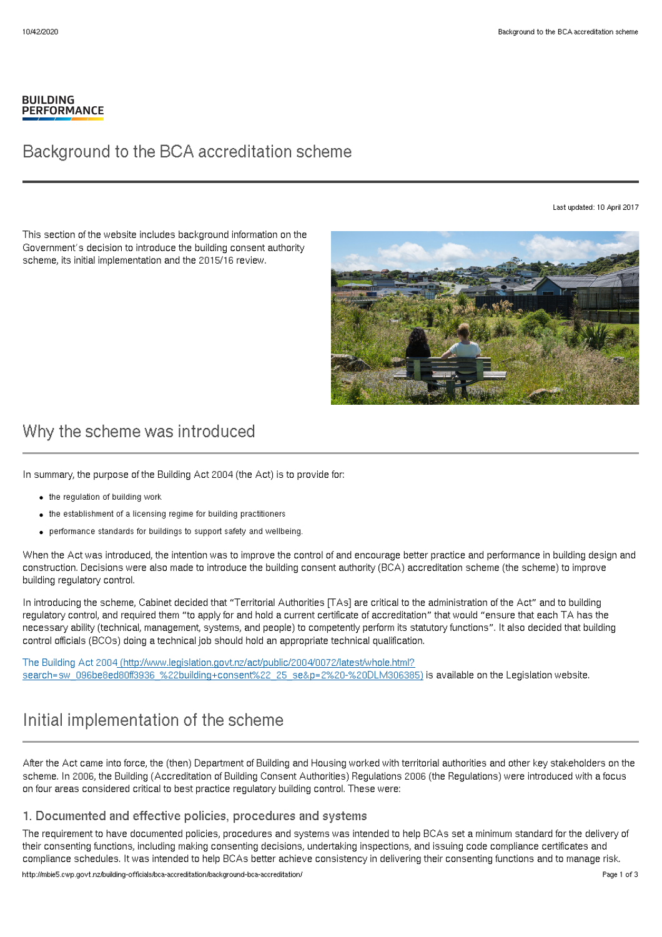#### **BUILDING PERFORMANCE**

## Background to the BCA accreditation scheme

Last updated: 10 April 2017

This section of the website includes background information on the Government's decision to introduce the building consent authority scheme, its initial implementation and the 2015/16 review.



## Why the scheme was introduced

In summary, the purpose of the Building Act 2004 (the Act) is to provide for:

- $\bullet$  the regulation of building work
- the establishment of a licensing regime for building practitioners
- performance standards for buildings to support safety and wellbeing.

When the Act was introduced, the intention was to improve the control of and encourage better practice and performance in building design and construction. Decisions were also made to introduce the building consent authority (BCA) accreditation scheme (the scheme) to improve building regulatory control.

In introducing the scheme, Cabinet decided that "Territorial Authorities [TAs] are critical to the administration of the Act" and to building regulatory control, and required them "to apply for and hold a current certificate of accreditation" that would "ensure that each TA has the necessary ability (technical, management, systems, and people) to competently perform its statutory functions". It also decided that building control officials (BCOs) doing a technical job should hold an appropriate technical qualification.

The Building Act 2004 (http://www.legislation.govt.nz/act/public/2004/0072/latest/whole.html? [search=sw\\_096be8ed80ff3936\\_%22building+consent%22\\_25\\_se&p=2%20-%20DLM306385\)](http://www.legislation.govt.nz/act/public/2004/0072/latest/whole.html?search=sw_096be8ed80ff3936_%2522building+consent%2522_25_se&p=2%20-%20DLM306385) is available on the Legislation website.

# Initial implementation of the scheme

After the Act came into force, the (then) Department of Building and Housing worked with territorial authorities and other key stakeholders on the scheme. In 2006, the Building (Accreditation of Building Consent Authorities) Regulations 2006 (the Regulations) were introduced with a focus on four areas considered critical to best practice regulatory building control. These were:

#### 1. Documented and effective policies, procedures and systems

The requirement to have documented policies, procedures and systems was intended to help BCAs set a minimum standard for the delivery of their consenting functions, including making consenting decisions, undertaking inspections, and issuing code compliance certificates and compliance schedules. It was intended to help BCAs better achieve consistency in delivering their consenting functions and to manage risk. http://mbie5.cwp.govt.nz/building-officials/bca-accreditation/background-bca-accreditation/ Page 1 of 3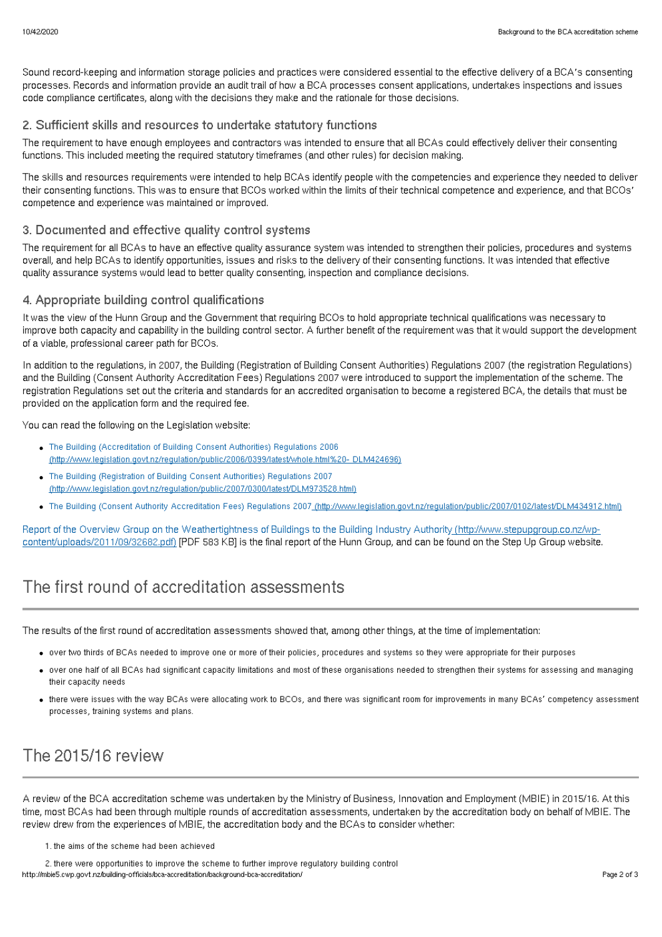Sound record-keeping and information storage policies and practices were considered essential to the effective delivery of a BCA's consenting processes. Records and information provide an audit trail of how a BCA processes consent applications, undertakes inspections and issues code compliance certificates, along with the decisions they make and the rationale for those decisions.

### 2. Sufficient skills and resources to undertake statutory functions

The requirement to have enough employees and contractors was intended to ensure that all BCAs could effectively deliver their consenting functions. This included meeting the required statutory timeframes (and other rules) for decision making.

The skills and resources requirements were intended to help BCAs identify people with the competencies and experience they needed to deliver their consenting functions. This was to ensure that BCOs worked within the limits of their technical competence and experience, and that BCOs' competence and experience was maintained or improved.

#### 3. Documented and effective quality control systems

The requirement for all BCAs to have an effective quality assurance system was intended to strengthen their policies, procedures and systems overall, and help BCAs to identify opportunities, issues and risks to the delivery of their consenting functions. It was intended that effective quality assurance systems would lead to better quality consenting, inspection and compliance decisions.

### 4. Appropriate building control qualifications

It was the view of the Hunn Group and the Government that requiring BCOs to hold appropriate technical qualifications was necessary to improve both capacity and capability in the building control sector. A further benefit of the requirement was that it would support the development of a viable, professional career path for BCOs.

In addition to the regulations, in 2007, the Building (Registration of Building Consent Authorities) Regulations 2007 (the registration Regulations) and the Building (Consent Authority Accreditation Fees) Regulations 2007 were introduced to support the implementation of the scheme. The registration Regulations set out the criteria and standards for an accredited organisation to become a registered BCA, the details that must be provided on the application form and the required fee.

You can read the following on the Legislation website:

- The Building (Accreditation of Building Consent Authorities) Regulations 2006 [\(http://www.legislation.govt.nz/regulation/public/2006/0399/latest/whole.html%20-](http://www.legislation.govt.nz/regulation/public/2006/0399/latest/whole.html%20-%20DLM424696) DLM424696)
- The Building (Registration of Building Consent Authorities) Regulations 2007 [\(http://www.legislation.govt.nz/regulation/public/2007/0300/latest/DLM973528.html\)](http://www.legislation.govt.nz/regulation/public/2007/0300/latest/DLM973528.html)
- The Building (Consent Authority Accreditation Fees) Regulations 2007 [\(http://www.legislation.govt.nz/regulation/public/2007/0102/latest/DLM434912.html\)](http://www.legislation.govt.nz/regulation/public/2007/0102/latest/DLM434912.html)

Report of the Overview Group on the Weathertightness of Buildings to the Building Industry Authority (http://www.stepupgroup.co.nz/wp[content/uploads/2011/09/32682.pdf\)](http://www.stepupgroup.co.nz/wp-content/uploads/2011/09/32682.pdf) [PDF 583 KB] is the final report of the Hunn Group, and can be found on the Step Up Group website.

## The first round of accreditation assessments

The results of the first round of accreditation assessments showed that, among other things, at the time of implementation:

- over two thirds of BCAs needed to improve one or more of their policies, procedures and systems so they were appropriate for their purposes
- over one half of all BCAs had significant capacity limitations and most of these organisations needed to strengthen their systems for assessing and managing their capacity needs
- there were issues with the way BCAs were allocating work to BCOs, and there was significant room for improvements in many BCAs' competency assessment processes, training systems and plans.

# The 2015/16 review

A review of the BCA accreditation scheme was undertaken by the Ministry of Business, Innovation and Employment (MBIE) in 2015/16. At this time, most BCAs had been through multiple rounds of accreditation assessments, undertaken by the accreditation body on behalf of MBIE. The review drew from the experiences of MBIE, the accreditation body and the BCAs to consider whether:

1. the aims of the scheme had been achieved

2. there were opportunities to improve the scheme to further improve regulatory building control http://mbie5.cwp.govt.nz/building-officials/bca-accreditation/background-bca-accreditation/ Page 2 of 3